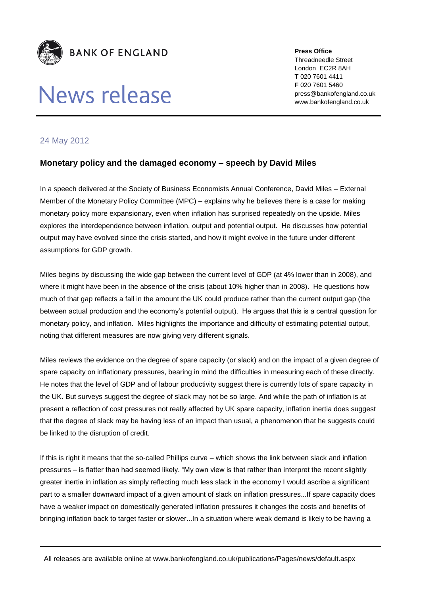

## News release

**Press Office** Threadneedle Street London EC2R 8AH **T** 020 7601 4411 **F** 020 7601 5460 press@bankofengland.co.uk www.bankofengland.co.uk

## 24 May 2012

## **Monetary policy and the damaged economy – speech by David Miles**

In a speech delivered at the Society of Business Economists Annual Conference, David Miles – External Member of the Monetary Policy Committee (MPC) – explains why he believes there is a case for making monetary policy more expansionary, even when inflation has surprised repeatedly on the upside. Miles explores the interdependence between inflation, output and potential output. He discusses how potential output may have evolved since the crisis started, and how it might evolve in the future under different assumptions for GDP growth.

Miles begins by discussing the wide gap between the current level of GDP (at 4% lower than in 2008), and where it might have been in the absence of the crisis (about 10% higher than in 2008). He questions how much of that gap reflects a fall in the amount the UK could produce rather than the current output gap (the between actual production and the economy's potential output). He argues that this is a central question for monetary policy, and inflation. Miles highlights the importance and difficulty of estimating potential output, noting that different measures are now giving very different signals.

Miles reviews the evidence on the degree of spare capacity (or slack) and on the impact of a given degree of spare capacity on inflationary pressures, bearing in mind the difficulties in measuring each of these directly. He notes that the level of GDP and of labour productivity suggest there is currently lots of spare capacity in the UK. But surveys suggest the degree of slack may not be so large. And while the path of inflation is at present a reflection of cost pressures not really affected by UK spare capacity, inflation inertia does suggest that the degree of slack may be having less of an impact than usual, a phenomenon that he suggests could be linked to the disruption of credit.

If this is right it means that the so-called Phillips curve – which shows the link between slack and inflation pressures – is flatter than had seemed likely. "My own view is that rather than interpret the recent slightly greater inertia in inflation as simply reflecting much less slack in the economy I would ascribe a significant part to a smaller downward impact of a given amount of slack on inflation pressures...If spare capacity does have a weaker impact on domestically generated inflation pressures it changes the costs and benefits of bringing inflation back to target faster or slower...In a situation where weak demand is likely to be having a